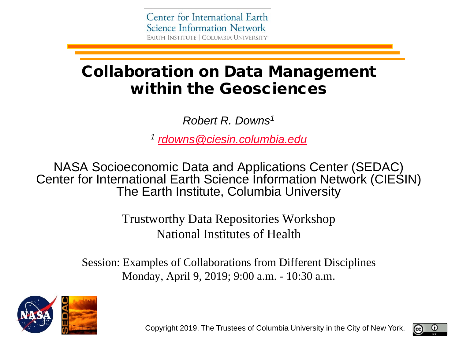# Collaboration on Data Management within the Geosciences

*Robert R. Downs1*

*<sup>1</sup> [rdowns@ciesin.columbia.edu](mailto:rdowns@ciesin.columbia.edu)*

NASA Socioeconomic Data and Applications Center (SEDAC) Center for International Earth Science Information Network (CIESIN) The Earth Institute, Columbia University

> Trustworthy Data Repositories Workshop National Institutes of Health

Session: Examples of Collaborations from Different Disciplines Monday, April 9, 2019; 9:00 a.m. - 10:30 a.m.



Copyright 2019. The Trustees of Columbia University in the City of New York.

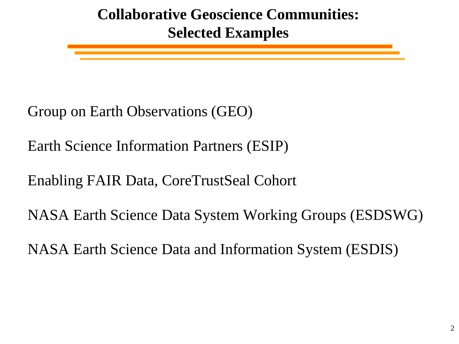# **Collaborative Geoscience Communities: Selected Examples**

Group on Earth Observations (GEO)

Earth Science Information Partners (ESIP)

Enabling FAIR Data, CoreTrustSeal Cohort

NASA Earth Science Data System Working Groups (ESDSWG)

NASA Earth Science Data and Information System (ESDIS)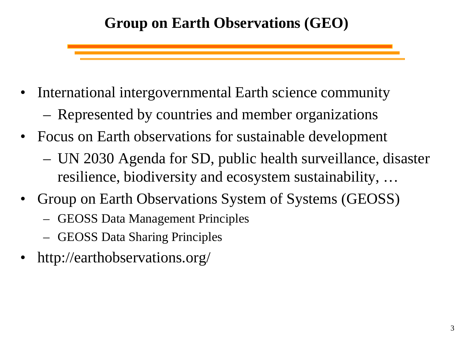# **Group on Earth Observations (GEO)**

- International intergovernmental Earth science community
	- Represented by countries and member organizations
- Focus on Earth observations for sustainable development
	- UN 2030 Agenda for SD, public health surveillance, disaster resilience, biodiversity and ecosystem sustainability, …
- Group on Earth Observations System of Systems (GEOSS)
	- GEOSS Data Management Principles
	- GEOSS Data Sharing Principles
- http://earthobservations.org/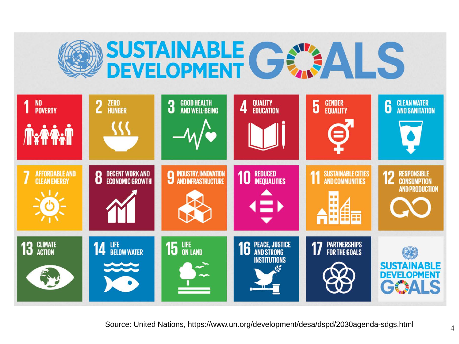



Source: United Nations, https://www.un.org/development/desa/dspd/2030agenda-sdgs.html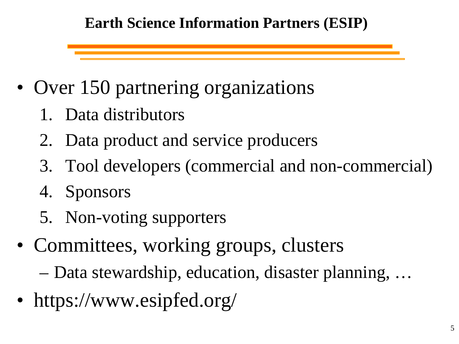### **Earth Science Information Partners (ESIP)**

- Over 150 partnering organizations
	- 1. Data distributors
	- 2. Data product and service producers
	- 3. Tool developers (commercial and non-commercial)
	- 4. Sponsors
	- 5. Non-voting supporters
- Committees, working groups, clusters
	- Data stewardship, education, disaster planning, …
- https://www.esipfed.org/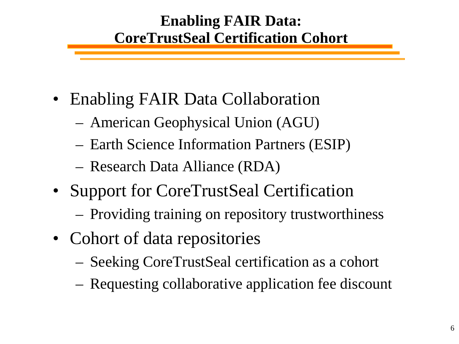### **Enabling FAIR Data: CoreTrustSeal Certification Cohort**

- Enabling FAIR Data Collaboration
	- American Geophysical Union (AGU)
	- Earth Science Information Partners (ESIP)
	- Research Data Alliance (RDA)
- Support for CoreTrustSeal Certification
	- Providing training on repository trustworthiness
- Cohort of data repositories
	- Seeking CoreTrustSeal certification as a cohort
	- Requesting collaborative application fee discount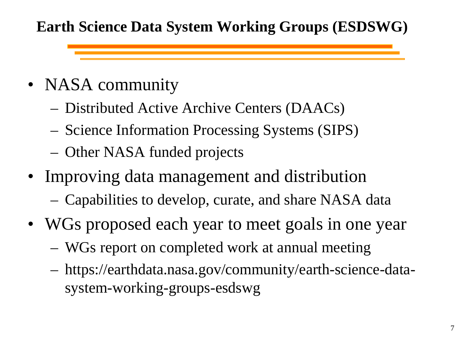### **Earth Science Data System Working Groups (ESDSWG)**

- NASA community
	- Distributed Active Archive Centers (DAACs)
	- Science Information Processing Systems (SIPS)
	- Other NASA funded projects
- Improving data management and distribution
	- Capabilities to develop, curate, and share NASA data
- WGs proposed each year to meet goals in one year
	- WGs report on completed work at annual meeting
	- https://earthdata.nasa.gov/community/earth-science-datasystem-working-groups-esdswg